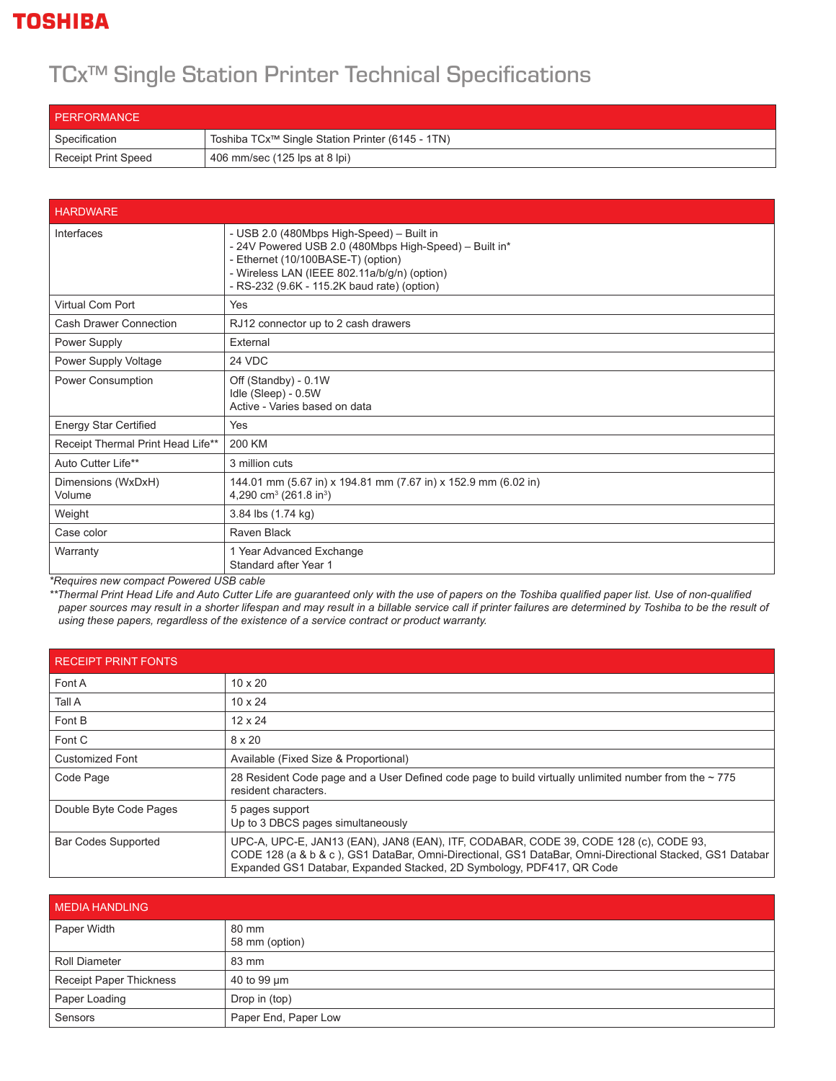## **TOSHIBA**

## TCx™ Single Station Printer Technical Specifications

| PERFORMANCE         |                                                              |
|---------------------|--------------------------------------------------------------|
| Specification       | Toshiba TCx <sup>™</sup> Single Station Printer (6145 - 1TN) |
| Receipt Print Speed | 406 mm/sec (125 lps at 8 lpi)                                |

| <b>HARDWARE</b>                   |                                                                                                                                                                                                                                          |  |
|-----------------------------------|------------------------------------------------------------------------------------------------------------------------------------------------------------------------------------------------------------------------------------------|--|
| Interfaces                        | - USB 2.0 (480Mbps High-Speed) - Built in<br>- 24V Powered USB 2.0 (480Mbps High-Speed) - Built in*<br>- Ethernet (10/100BASE-T) (option)<br>- Wireless LAN (IEEE 802.11a/b/g/n) (option)<br>- RS-232 (9.6K - 115.2K baud rate) (option) |  |
| Virtual Com Port                  | Yes                                                                                                                                                                                                                                      |  |
| Cash Drawer Connection            | RJ12 connector up to 2 cash drawers                                                                                                                                                                                                      |  |
| Power Supply                      | External                                                                                                                                                                                                                                 |  |
| Power Supply Voltage              | 24 VDC                                                                                                                                                                                                                                   |  |
| Power Consumption                 | Off (Standby) - 0.1W<br>Idle (Sleep) - 0.5W<br>Active - Varies based on data                                                                                                                                                             |  |
| <b>Energy Star Certified</b>      | Yes                                                                                                                                                                                                                                      |  |
| Receipt Thermal Print Head Life** | 200 KM                                                                                                                                                                                                                                   |  |
| Auto Cutter Life**                | 3 million cuts                                                                                                                                                                                                                           |  |
| Dimensions (WxDxH)<br>Volume      | 144.01 mm (5.67 in) x 194.81 mm (7.67 in) x 152.9 mm (6.02 in)<br>4,290 cm <sup>3</sup> (261.8 in <sup>3</sup> )                                                                                                                         |  |
| Weight                            | 3.84 lbs (1.74 kg)                                                                                                                                                                                                                       |  |
| Case color                        | Raven Black                                                                                                                                                                                                                              |  |
| Warranty                          | 1 Year Advanced Exchange<br>Standard after Year 1                                                                                                                                                                                        |  |

*\*Requires new compact Powered USB cable*

*\*\*Thermal Print Head Life and Auto Cutter Life are guaranteed only with the use of papers on the Toshiba qualified paper list. Use of non-qualified*  paper sources may result in a shorter lifespan and may result in a billable service call if printer failures are determined by Toshiba to be the result of  *using these papers, regardless of the existence of a service contract or product warranty.*

| <b>RECEIPT PRINT FONTS</b> |                                                                                                                                                                                                                                                                          |  |
|----------------------------|--------------------------------------------------------------------------------------------------------------------------------------------------------------------------------------------------------------------------------------------------------------------------|--|
| Font A                     | $10 \times 20$                                                                                                                                                                                                                                                           |  |
| Tall A                     | $10 \times 24$                                                                                                                                                                                                                                                           |  |
| Font B                     | $12 \times 24$                                                                                                                                                                                                                                                           |  |
| Font C                     | 8 x 20                                                                                                                                                                                                                                                                   |  |
| <b>Customized Font</b>     | Available (Fixed Size & Proportional)                                                                                                                                                                                                                                    |  |
| Code Page                  | 28 Resident Code page and a User Defined code page to build virtually unlimited number from the $\sim$ 775<br>resident characters.                                                                                                                                       |  |
| Double Byte Code Pages     | 5 pages support<br>Up to 3 DBCS pages simultaneously                                                                                                                                                                                                                     |  |
| <b>Bar Codes Supported</b> | UPC-A, UPC-E, JAN13 (EAN), JAN8 (EAN), ITF, CODABAR, CODE 39, CODE 128 (c), CODE 93,<br>CODE 128 (a & b & c), GS1 DataBar, Omni-Directional, GS1 DataBar, Omni-Directional Stacked, GS1 Databar<br>Expanded GS1 Databar, Expanded Stacked, 2D Symbology, PDF417, QR Code |  |

| <b>MEDIA HANDLING</b>          |                         |
|--------------------------------|-------------------------|
| Paper Width                    | 80 mm<br>58 mm (option) |
| Roll Diameter                  | 83 mm                   |
| <b>Receipt Paper Thickness</b> | 40 to 99 um             |
| Paper Loading                  | Drop in (top)           |
| Sensors                        | Paper End, Paper Low    |